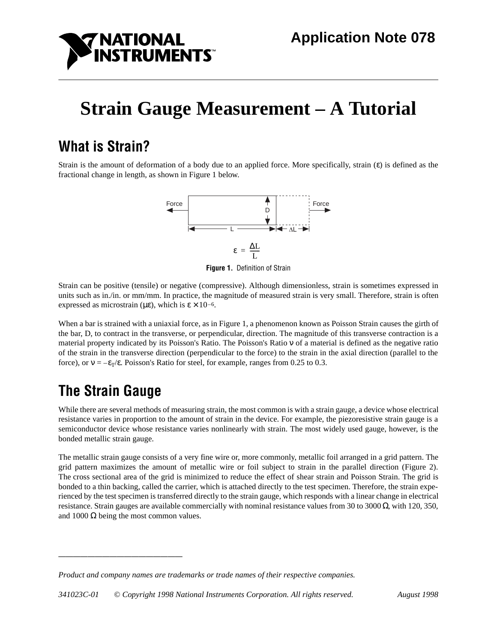

# **Strain Gauge Measurement – A Tutorial**

# **What is Strain?**

Strain is the amount of deformation of a body due to an applied force. More specifically, strain  $(\varepsilon)$  is defined as the fractional change in length, as shown in Figure 1 below.



**Figure 1.** Definition of Strain

Strain can be positive (tensile) or negative (compressive). Although dimensionless, strain is sometimes expressed in units such as in./in. or mm/mm. In practice, the magnitude of measured strain is very small. Therefore, strain is often expressed as microstrain ( $\mu \varepsilon$ ), which is  $\varepsilon \times 10^{-6}$ .

When a bar is strained with a uniaxial force, as in Figure 1, a phenomenon known as Poisson Strain causes the girth of the bar, D, to contract in the transverse, or perpendicular, direction. The magnitude of this transverse contraction is a material property indicated by its Poisson's Ratio. The Poisson's Ratio ν of a material is defined as the negative ratio of the strain in the transverse direction (perpendicular to the force) to the strain in the axial direction (parallel to the force), or  $v = -\varepsilon_T/\varepsilon$ . Poisson's Ratio for steel, for example, ranges from 0.25 to 0.3.

# **The Strain Gauge**

—————————————————

While there are several methods of measuring strain, the most common is with a strain gauge, a device whose electrical resistance varies in proportion to the amount of strain in the device. For example, the piezoresistive strain gauge is a semiconductor device whose resistance varies nonlinearly with strain. The most widely used gauge, however, is the bonded metallic strain gauge.

The metallic strain gauge consists of a very fine wire or, more commonly, metallic foil arranged in a grid pattern. The grid pattern maximizes the amount of metallic wire or foil subject to strain in the parallel direction (Figure 2). The cross sectional area of the grid is minimized to reduce the effect of shear strain and Poisson Strain. The grid is bonded to a thin backing, called the carrier, which is attached directly to the test specimen. Therefore, the strain experienced by the test specimen is transferred directly to the strain gauge, which responds with a linear change in electrical resistance. Strain gauges are available commercially with nominal resistance values from 30 to 3000 Ω, with 120, 350, and 1000  $\Omega$  being the most common values.

*Product and company names are trademarks or trade names of their respective companies.*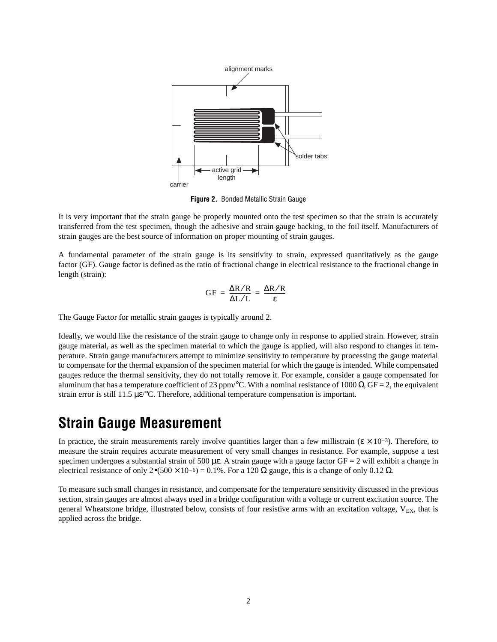

**Figure 2.** Bonded Metallic Strain Gauge

It is very important that the strain gauge be properly mounted onto the test specimen so that the strain is accurately transferred from the test specimen, though the adhesive and strain gauge backing, to the foil itself. Manufacturers of strain gauges are the best source of information on proper mounting of strain gauges.

A fundamental parameter of the strain gauge is its sensitivity to strain, expressed quantitatively as the gauge factor (GF). Gauge factor is defined as the ratio of fractional change in electrical resistance to the fractional change in length (strain):

$$
GF\,=\,\frac{\Delta R/R}{\Delta L/L}\,=\,\frac{\Delta R/R}{\epsilon}
$$

The Gauge Factor for metallic strain gauges is typically around 2.

Ideally, we would like the resistance of the strain gauge to change only in response to applied strain. However, strain gauge material, as well as the specimen material to which the gauge is applied, will also respond to changes in temperature. Strain gauge manufacturers attempt to minimize sensitivity to temperature by processing the gauge material to compensate for the thermal expansion of the specimen material for which the gauge is intended. While compensated gauges reduce the thermal sensitivity, they do not totally remove it. For example, consider a gauge compensated for aluminum that has a temperature coefficient of 23 ppm/ $^{\circ}$ C. With a nominal resistance of 1000  $\Omega$  GF = 2, the equivalent strain error is still 11.5 µε/°C. Therefore, additional temperature compensation is important.

#### **Strain Gauge Measurement**

In practice, the strain measurements rarely involve quantities larger than a few millistrain ( $\varepsilon \times 10^{-3}$ ). Therefore, to measure the strain requires accurate measurement of very small changes in resistance. For example, suppose a test specimen undergoes a substantial strain of 500  $\mu$ e. A strain gauge with a gauge factor GF = 2 will exhibit a change in electrical resistance of only  $2\cdot(500 \times 10^{-6}) = 0.1\%$ . For a 120  $\Omega$  gauge, this is a change of only 0.12  $\Omega$ .

To measure such small changes in resistance, and compensate for the temperature sensitivity discussed in the previous section, strain gauges are almost always used in a bridge configuration with a voltage or current excitation source. The general Wheatstone bridge, illustrated below, consists of four resistive arms with an excitation voltage,  $V_{EX}$ , that is applied across the bridge.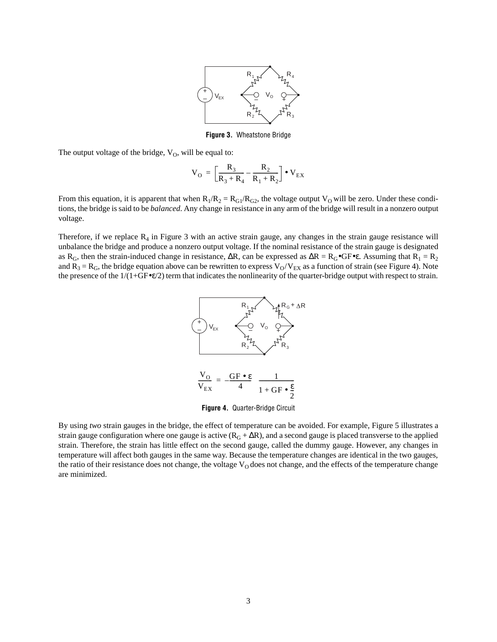

**Figure 3.** Wheatstone Bridge

The output voltage of the bridge,  $V<sub>O</sub>$ , will be equal to:

$$
\mathbf{V}_{\mathrm{O}} = \left[\frac{\mathbf{R}_{3}}{\mathbf{R}_{3} + \mathbf{R}_{4}} - \frac{\mathbf{R}_{2}}{\mathbf{R}_{1} + \mathbf{R}_{2}}\right] \bullet \mathbf{V}_{\mathrm{EX}}
$$

From this equation, it is apparent that when  $R_1/R_2 = R_{G1}/R_{G2}$ , the voltage output V<sub>O</sub> will be zero. Under these conditions, the bridge is said to be *balanced*. Any change in resistance in any arm of the bridge will result in a nonzero output voltage.

Therefore, if we replace  $R_4$  in Figure 3 with an active strain gauge, any changes in the strain gauge resistance will unbalance the bridge and produce a nonzero output voltage. If the nominal resistance of the strain gauge is designated as R<sub>G</sub>, then the strain-induced change in resistance,  $\Delta R$ , can be expressed as  $\Delta R = R_G \bullet GF \bullet \epsilon$ . Assuming that  $R_1 = R_2$ and  $R_3 = R_G$ , the bridge equation above can be rewritten to express  $V_O/V_{EX}$  as a function of strain (see Figure 4). Note the presence of the  $1/(1+GF\bullet \varepsilon/2)$  term that indicates the nonlinearity of the quarter-bridge output with respect to strain.



**Figure 4.** Quarter-Bridge Circuit

By using *two* strain gauges in the bridge, the effect of temperature can be avoided. For example, Figure 5 illustrates a strain gauge configuration where one gauge is active  $(R_G + \Delta R)$ , and a second gauge is placed transverse to the applied strain. Therefore, the strain has little effect on the second gauge, called the dummy gauge. However, any changes in temperature will affect both gauges in the same way. Because the temperature changes are identical in the two gauges, the ratio of their resistance does not change, the voltage  $V<sub>O</sub>$  does not change, and the effects of the temperature change are minimized.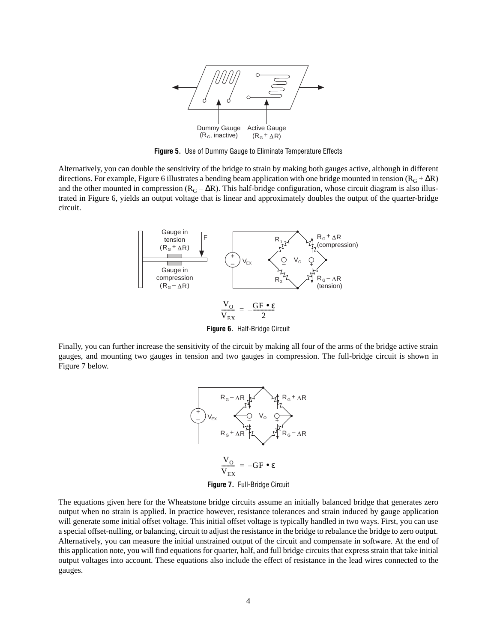

**Figure 5.** Use of Dummy Gauge to Eliminate Temperature Effects

Alternatively, you can double the sensitivity of the bridge to strain by making both gauges active, although in different directions. For example, Figure 6 illustrates a bending beam application with one bridge mounted in tension ( $R_G + \Delta R$ ) and the other mounted in compression ( $R_G - \Delta R$ ). This half-bridge configuration, whose circuit diagram is also illustrated in Figure 6, yields an output voltage that is linear and approximately doubles the output of the quarter-bridge circuit.



Finally, you can further increase the sensitivity of the circuit by making all four of the arms of the bridge active strain gauges, and mounting two gauges in tension and two gauges in compression. The full-bridge circuit is shown in Figure 7 below.



**Figure 7.** Full-Bridge Circuit

The equations given here for the Wheatstone bridge circuits assume an initially balanced bridge that generates zero output when no strain is applied. In practice however, resistance tolerances and strain induced by gauge application will generate some initial offset voltage. This initial offset voltage is typically handled in two ways. First, you can use a special offset-nulling, or balancing, circuit to adjust the resistance in the bridge to rebalance the bridge to zero output. Alternatively, you can measure the initial unstrained output of the circuit and compensate in software. At the end of this application note, you will find equations for quarter, half, and full bridge circuits that express strain that take initial output voltages into account. These equations also include the effect of resistance in the lead wires connected to the gauges.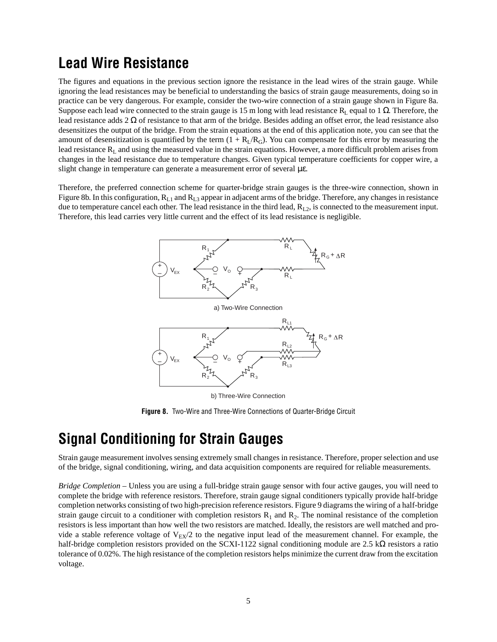#### **Lead Wire Resistance**

The figures and equations in the previous section ignore the resistance in the lead wires of the strain gauge. While ignoring the lead resistances may be beneficial to understanding the basics of strain gauge measurements, doing so in practice can be very dangerous. For example, consider the two-wire connection of a strain gauge shown in Figure 8a. Suppose each lead wire connected to the strain gauge is 15 m long with lead resistance R<sub>L</sub> equal to 1  $\Omega$ . Therefore, the lead resistance adds  $2 \Omega$  of resistance to that arm of the bridge. Besides adding an offset error, the lead resistance also desensitizes the output of the bridge. From the strain equations at the end of this application note, you can see that the amount of desensitization is quantified by the term  $(1 + R_1/R_G)$ . You can compensate for this error by measuring the lead resistance  $R_L$  and using the measured value in the strain equations. However, a more difficult problem arises from changes in the lead resistance due to temperature changes. Given typical temperature coefficients for copper wire, a slight change in temperature can generate a measurement error of several µε.

Therefore, the preferred connection scheme for quarter-bridge strain gauges is the three-wire connection, shown in Figure 8b. In this configuration,  $R_{L1}$  and  $R_{L3}$  appear in adjacent arms of the bridge. Therefore, any changes in resistance due to temperature cancel each other. The lead resistance in the third lead,  $R_{L2}$ , is connected to the measurement input. Therefore, this lead carries very little current and the effect of its lead resistance is negligible.



b) Three-Wire Connection

**Figure 8.** Two-Wire and Three-Wire Connections of Quarter-Bridge Circuit

#### **Signal Conditioning for Strain Gauges**

Strain gauge measurement involves sensing extremely small changes in resistance. Therefore, proper selection and use of the bridge, signal conditioning, wiring, and data acquisition components are required for reliable measurements.

*Bridge Completion* – Unless you are using a full-bridge strain gauge sensor with four active gauges, you will need to complete the bridge with reference resistors. Therefore, strain gauge signal conditioners typically provide half-bridge completion networks consisting of two high-precision reference resistors. Figure 9 diagrams the wiring of a half-bridge strain gauge circuit to a conditioner with completion resistors  $R_1$  and  $R_2$ . The nominal resistance of the completion resistors is less important than how well the two resistors are matched. Ideally, the resistors are well matched and provide a stable reference voltage of  $V_{EX}/2$  to the negative input lead of the measurement channel. For example, the half-bridge completion resistors provided on the SCXI-1122 signal conditioning module are 2.5 k $\Omega$  resistors a ratio tolerance of 0.02%. The high resistance of the completion resistors helps minimize the current draw from the excitation voltage.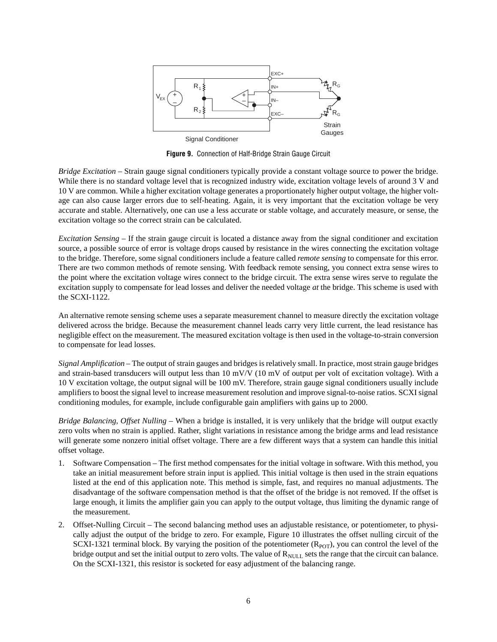

Signal Conditioner

**Figure 9.** Connection of Half-Bridge Strain Gauge Circuit

*Bridge Excitation –* Strain gauge signal conditioners typically provide a constant voltage source to power the bridge. While there is no standard voltage level that is recognized industry wide, excitation voltage levels of around 3 V and 10 V are common. While a higher excitation voltage generates a proportionately higher output voltage, the higher voltage can also cause larger errors due to self-heating. Again, it is very important that the excitation voltage be very accurate and stable. Alternatively, one can use a less accurate or stable voltage, and accurately measure, or sense, the excitation voltage so the correct strain can be calculated.

*Excitation Sensing* – If the strain gauge circuit is located a distance away from the signal conditioner and excitation source, a possible source of error is voltage drops caused by resistance in the wires connecting the excitation voltage to the bridge. Therefore, some signal conditioners include a feature called *remote sensing* to compensate for this error. There are two common methods of remote sensing. With feedback remote sensing, you connect extra sense wires to the point where the excitation voltage wires connect to the bridge circuit. The extra sense wires serve to regulate the excitation supply to compensate for lead losses and deliver the needed voltage *at* the bridge. This scheme is used with the SCXI-1122.

An alternative remote sensing scheme uses a separate measurement channel to measure directly the excitation voltage delivered across the bridge. Because the measurement channel leads carry very little current, the lead resistance has negligible effect on the measurement. The measured excitation voltage is then used in the voltage-to-strain conversion to compensate for lead losses.

*Signal Amplification* – The output of strain gauges and bridges is relatively small. In practice, most strain gauge bridges and strain-based transducers will output less than 10 mV/V (10 mV of output per volt of excitation voltage). With a 10 V excitation voltage, the output signal will be 100 mV. Therefore, strain gauge signal conditioners usually include amplifiers to boost the signal level to increase measurement resolution and improve signal-to-noise ratios. SCXI signal conditioning modules, for example, include configurable gain amplifiers with gains up to 2000.

*Bridge Balancing, Offset Nulling* – When a bridge is installed, it is very unlikely that the bridge will output exactly zero volts when no strain is applied. Rather, slight variations in resistance among the bridge arms and lead resistance will generate some nonzero initial offset voltage. There are a few different ways that a system can handle this initial offset voltage.

- 1. Software Compensation The first method compensates for the initial voltage in software. With this method, you take an initial measurement before strain input is applied. This initial voltage is then used in the strain equations listed at the end of this application note. This method is simple, fast, and requires no manual adjustments. The disadvantage of the software compensation method is that the offset of the bridge is not removed. If the offset is large enough, it limits the amplifier gain you can apply to the output voltage, thus limiting the dynamic range of the measurement.
- 2. Offset-Nulling Circuit The second balancing method uses an adjustable resistance, or potentiometer, to physically adjust the output of the bridge to zero. For example, Figure 10 illustrates the offset nulling circuit of the SCXI-1321 terminal block. By varying the position of the potentiometer  $(R_{POT})$ , you can control the level of the bridge output and set the initial output to zero volts. The value of  $R_{\text{NULL}}$  sets the range that the circuit can balance. On the SCXI-1321, this resistor is socketed for easy adjustment of the balancing range.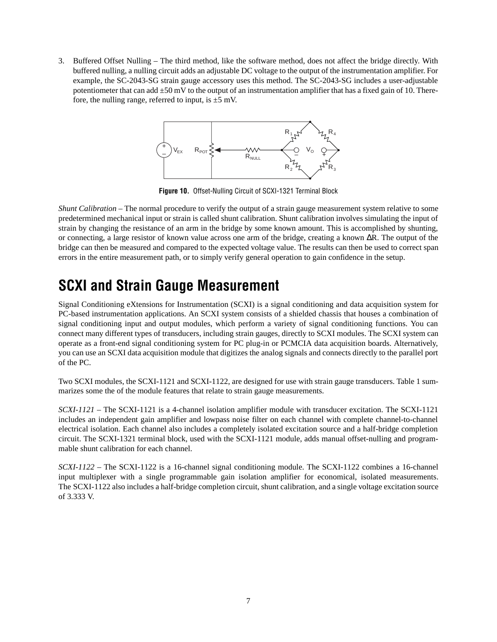3. Buffered Offset Nulling – The third method, like the software method, does not affect the bridge directly. With buffered nulling, a nulling circuit adds an adjustable DC voltage to the output of the instrumentation amplifier. For example, the SC-2043-SG strain gauge accessory uses this method. The SC-2043-SG includes a user-adjustable potentiometer that can add  $\pm 50$  mV to the output of an instrumentation amplifier that has a fixed gain of 10. Therefore, the nulling range, referred to input, is  $\pm 5$  mV.



**Figure 10.** Offset-Nulling Circuit of SCXI-1321 Terminal Block

*Shunt Calibration* – The normal procedure to verify the output of a strain gauge measurement system relative to some predetermined mechanical input or strain is called shunt calibration. Shunt calibration involves simulating the input of strain by changing the resistance of an arm in the bridge by some known amount. This is accomplished by shunting, or connecting, a large resistor of known value across one arm of the bridge, creating a known ∆R. The output of the bridge can then be measured and compared to the expected voltage value. The results can then be used to correct span errors in the entire measurement path, or to simply verify general operation to gain confidence in the setup.

# **SCXI and Strain Gauge Measurement**

Signal Conditioning eXtensions for Instrumentation (SCXI) is a signal conditioning and data acquisition system for PC-based instrumentation applications. An SCXI system consists of a shielded chassis that houses a combination of signal conditioning input and output modules, which perform a variety of signal conditioning functions. You can connect many different types of transducers, including strain gauges, directly to SCXI modules. The SCXI system can operate as a front-end signal conditioning system for PC plug-in or PCMCIA data acquisition boards. Alternatively, you can use an SCXI data acquisition module that digitizes the analog signals and connects directly to the parallel port of the PC.

Two SCXI modules, the SCXI-1121 and SCXI-1122, are designed for use with strain gauge transducers. Table 1 summarizes some the of the module features that relate to strain gauge measurements.

*SCXI-1121* – The SCXI-1121 is a 4-channel isolation amplifier module with transducer excitation. The SCXI-1121 includes an independent gain amplifier and lowpass noise filter on each channel with complete channel-to-channel electrical isolation. Each channel also includes a completely isolated excitation source and a half-bridge completion circuit. The SCXI-1321 terminal block, used with the SCXI-1121 module, adds manual offset-nulling and programmable shunt calibration for each channel.

*SCXI-1122* – The SCXI-1122 is a 16-channel signal conditioning module. The SCXI-1122 combines a 16-channel input multiplexer with a single programmable gain isolation amplifier for economical, isolated measurements. The SCXI-1122 also includes a half-bridge completion circuit, shunt calibration, and a single voltage excitation source of 3.333 V.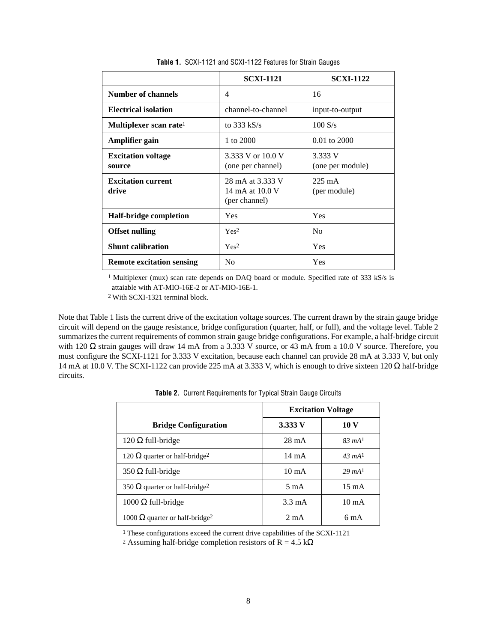|                                     | <b>SCXI-1121</b>                                     | <b>SCXI-1122</b>                 |
|-------------------------------------|------------------------------------------------------|----------------------------------|
| Number of channels                  | $\overline{\mathcal{A}}$                             | 16                               |
| <b>Electrical isolation</b>         | channel-to-channel                                   | input-to-output                  |
| Multiplexer scan rate <sup>1</sup>  | to $333$ kS/s                                        | 100 S/s                          |
| Amplifier gain                      | 1 to 2000                                            | 0.01 to 2000                     |
| <b>Excitation voltage</b><br>source | 3.333 V or 10.0 V<br>(one per channel)               | 3.333 V<br>(one per module)      |
| <b>Excitation current</b><br>drive  | 28 mA at 3.333 V<br>14 mA at 10.0 V<br>(per channel) | $225 \text{ mA}$<br>(per module) |
| <b>Half-bridge completion</b>       | Yes                                                  | Yes                              |
| <b>Offset nulling</b>               | Yes <sup>2</sup>                                     | N <sub>0</sub>                   |
| <b>Shunt calibration</b>            | Yes <sup>2</sup>                                     | Yes                              |
| <b>Remote excitation sensing</b>    | N <sub>0</sub>                                       | Yes                              |

**Table 1.** SCXI-1121 and SCXI-1122 Features for Strain Gauges

1 Multiplexer (mux) scan rate depends on DAQ board or module. Specified rate of 333 kS/s is attaiable with AT-MIO-16E-2 or AT-MIO-16E-1.

2 With SCXI-1321 terminal block.

Note that Table 1 lists the current drive of the excitation voltage sources. The current drawn by the strain gauge bridge circuit will depend on the gauge resistance, bridge configuration (quarter, half, or full), and the voltage level. Table 2 summarizes the current requirements of common strain gauge bridge configurations. For example, a half-bridge circuit with 120 Ω strain gauges will draw 14 mA from a 3.333 V source, or 43 mA from a 10.0 V source. Therefore, you must configure the SCXI-1121 for 3.333 V excitation, because each channel can provide 28 mA at 3.333 V, but only 14 mA at 10.0 V. The SCXI-1122 can provide 225 mA at 3.333 V, which is enough to drive sixteen 120 Ω half-bridge circuits.

|                                                  | <b>Excitation Voltage</b> |                   |
|--------------------------------------------------|---------------------------|-------------------|
| <b>Bridge Configuration</b>                      | 3.333V                    | 10 V              |
| 120 Ω full-bridge                                | $28 \text{ mA}$           | $83 \text{ mA}^1$ |
| 120 $\Omega$ quarter or half-bridge <sup>2</sup> | $14 \text{ mA}$           | $43 \text{ mA}^1$ |
| 350 $\Omega$ full-bridge                         | $10 \text{ mA}$           | $29 \text{ mA}^1$ |
| 350 $\Omega$ quarter or half-bridge <sup>2</sup> | $5 \text{ mA}$            | $15 \text{ mA}$   |
| 1000 Ω full-bridge                               | $3.3 \text{ mA}$          | $10 \text{ mA}$   |
| 1000 Ω quarter or half-bridge <sup>2</sup>       | $2 \text{ mA}$            | $6 \text{ mA}$    |

**Table 2.** Current Requirements for Typical Strain Gauge Circuits

1 These configurations exceed the current drive capabilities of the SCXI-1121

<sup>2</sup> Assuming half-bridge completion resistors of R = 4.5 k $\Omega$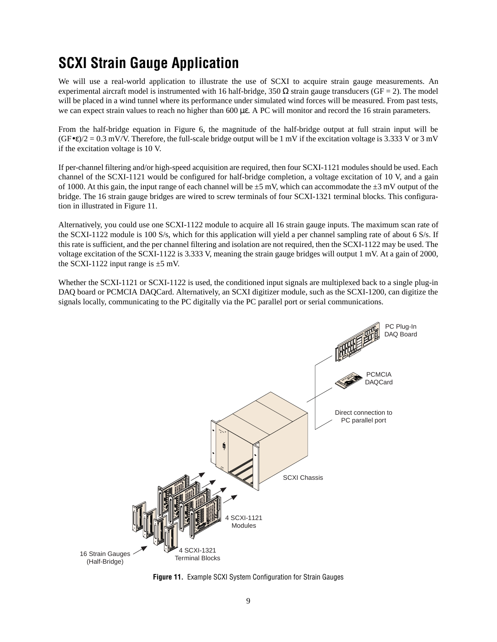# **SCXI Strain Gauge Application**

We will use a real-world application to illustrate the use of SCXI to acquire strain gauge measurements. An experimental aircraft model is instrumented with 16 half-bridge, 350  $\Omega$  strain gauge transducers (GF = 2). The model will be placed in a wind tunnel where its performance under simulated wind forces will be measured. From past tests, we can expect strain values to reach no higher than 600 με. A PC will monitor and record the 16 strain parameters.

From the half-bridge equation in Figure 6, the magnitude of the half-bridge output at full strain input will be  $(GF\bullet \varepsilon)/2 = 0.3$  mV/V. Therefore, the full-scale bridge output will be 1 mV if the excitation voltage is 3.333 V or 3 mV if the excitation voltage is 10 V.

If per-channel filtering and/or high-speed acquisition are required, then four SCXI-1121 modules should be used. Each channel of the SCXI-1121 would be configured for half-bridge completion, a voltage excitation of 10 V, and a gain of 1000. At this gain, the input range of each channel will be  $\pm 5$  mV, which can accommodate the  $\pm 3$  mV output of the bridge. The 16 strain gauge bridges are wired to screw terminals of four SCXI-1321 terminal blocks. This configuration in illustrated in Figure 11.

Alternatively, you could use one SCXI-1122 module to acquire all 16 strain gauge inputs. The maximum scan rate of the SCXI-1122 module is 100 S/s, which for this application will yield a per channel sampling rate of about 6 S/s. If this rate is sufficient, and the per channel filtering and isolation are not required, then the SCXI-1122 may be used. The voltage excitation of the SCXI-1122 is 3.333 V, meaning the strain gauge bridges will output 1 mV. At a gain of 2000, the SCXI-1122 input range is  $\pm$ 5 mV.

Whether the SCXI-1121 or SCXI-1122 is used, the conditioned input signals are multiplexed back to a single plug-in DAQ board or PCMCIA DAQCard. Alternatively, an SCXI digitizer module, such as the SCXI-1200, can digitize the signals locally, communicating to the PC digitally via the PC parallel port or serial communications.



**Figure 11.** Example SCXI System Configuration for Strain Gauges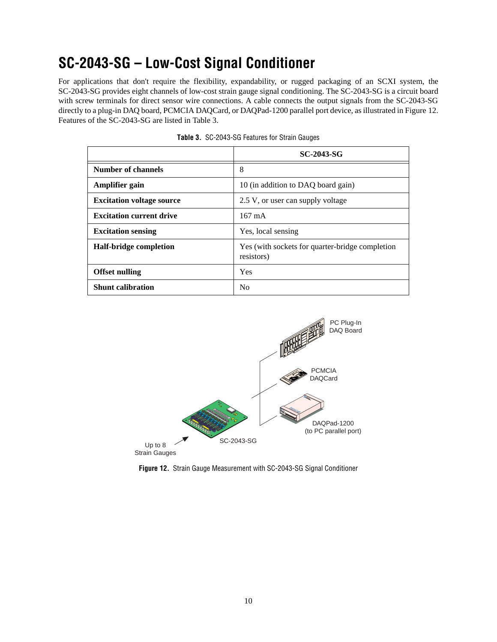# **SC-2043-SG – Low-Cost Signal Conditioner**

For applications that don't require the flexibility, expandability, or rugged packaging of an SCXI system, the SC-2043-SG provides eight channels of low-cost strain gauge signal conditioning. The SC-2043-SG is a circuit board with screw terminals for direct sensor wire connections. A cable connects the output signals from the SC-2043-SG directly to a plug-in DAQ board, PCMCIA DAQCard, or DAQPad-1200 parallel port device, as illustrated in Figure 12. Features of the SC-2043-SG are listed in Table 3.

|                                  | <b>SC-2043-SG</b>                                             |
|----------------------------------|---------------------------------------------------------------|
| Number of channels               | 8                                                             |
| Amplifier gain                   | 10 (in addition to DAQ board gain)                            |
| <b>Excitation voltage source</b> | 2.5 V, or user can supply voltage                             |
| <b>Excitation current drive</b>  | $167 \text{ mA}$                                              |
| <b>Excitation sensing</b>        | Yes, local sensing                                            |
| <b>Half-bridge completion</b>    | Yes (with sockets for quarter-bridge completion<br>resistors) |
| <b>Offset nulling</b>            | Yes                                                           |
| <b>Shunt calibration</b>         | No                                                            |

**Table 3.** SC-2043-SG Features for Strain Gauges



**Figure 12.** Strain Gauge Measurement with SC-2043-SG Signal Conditioner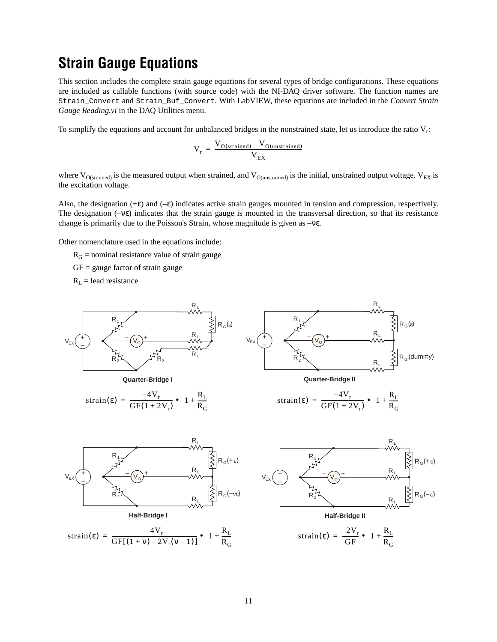#### **Strain Gauge Equations**

This section includes the complete strain gauge equations for several types of bridge configurations. These equations are included as callable functions (with source code) with the NI-DAQ driver software. The function names are Strain\_Convert and Strain\_Buf\_Convert. With LabVIEW, these equations are included in the *Convert Strain Gauge Reading.vi* in the DAQ Utilities menu.

To simplify the equations and account for unbalanced bridges in the nonstrained state, let us introduce the ratio  $V_r$ :

$$
V_r = \frac{V_{O(strained)} - V_{O(unstrained)}}{V_{EX}}
$$

where  $V_{O(strained)}$  is the measured output when strained, and  $V_{O(unstrained)}$  is the initial, unstrained output voltage.  $V_{EX}$  is the excitation voltage.

Also, the designation  $(+\epsilon)$  and  $(-\epsilon)$  indicates active strain gauges mounted in tension and compression, respectively. The designation  $(-v\epsilon)$  indicates that the strain gauge is mounted in the transversal direction, so that its resistance change is primarily due to the Poisson's Strain, whose magnitude is given as –νε.

Other nomenclature used in the equations include:

 $R_G$  = nominal resistance value of strain gauge

 $GF = gauge factor of strain gauge$ 

 $R_L$  = lead resistance